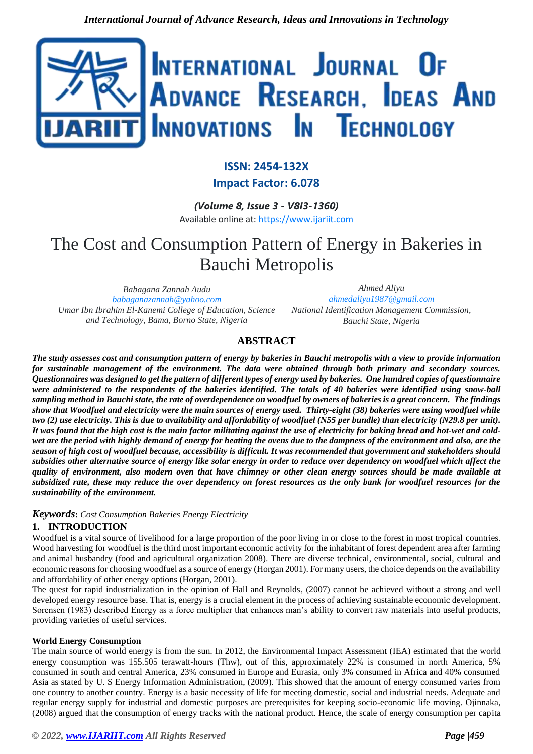

# **ISSN: 2454-132X**

**Impact Factor: 6.078**

*(Volume 8, Issue 3 - V8I3-1360)* Available online at: [https://www.ijariit.com](https://www.ijariit.com/?utm_source=pdf&utm_medium=edition&utm_campaign=OmAkSols&utm_term=V8I3-1360)

# The Cost and Consumption Pattern of Energy in Bakeries in Bauchi Metropolis

*Babagana Zannah Audu [babaganazannah@yahoo.com](mailto:babaganazannah@yahoo.com) Umar Ibn Ibrahim El-Kanemi College of Education, Science and Technology, Bama, Borno State, Nigeria*

*Ahmed Aliyu [ahmedaliyu1987@gmail.com](mailto:ahmedaliyu1987@gmail.com) National Identification Management Commission, Bauchi State, Nigeria*

# **ABSTRACT**

*The study assesses cost and consumption pattern of energy by bakeries in Bauchi metropolis with a view to provide information for sustainable management of the environment. The data were obtained through both primary and secondary sources. Questionnaires was designed to get the pattern of different types of energy used by bakeries. One hundred copies of questionnaire were administered to the respondents of the bakeries identified. The totals of 40 bakeries were identified using snow-ball sampling method in Bauchi state, the rate of overdependence on woodfuel by owners of bakeries is a great concern. The findings show that Woodfuel and electricity were the main sources of energy used. Thirty-eight (38) bakeries were using woodfuel while two (2) use electricity. This is due to availability and affordability of woodfuel (N55 per bundle) than electricity (N29.8 per unit).* It was found that the high cost is the main factor militating against the use of electricity for baking bread and hot-wet and cold*wet are the period with highly demand of energy for heating the ovens due to the dampness of the environment and also, are the season of high cost of woodfuel because, accessibility is difficult. It was recommended that government and stakeholders should subsidies other alternative source of energy like solar energy in order to reduce over dependency on woodfuel which affect the quality of environment, also modern oven that have chimney or other clean energy sources should be made available at subsidized rate, these may reduce the over dependency on forest resources as the only bank for woodfuel resources for the sustainability of the environment.*

# *Keywords***:** *Cost Consumption Bakeries Energy Electricity*

# **1. INTRODUCTION**

Woodfuel is a vital source of livelihood for a large proportion of the poor living in or close to the forest in most tropical countries. Wood harvesting for woodfuel is the third most important economic activity for the inhabitant of forest dependent area after farming and animal husbandry (food and agricultural organization 2008). There are diverse technical, environmental, social, cultural and economic reasons for choosing woodfuel as a source of energy (Horgan 2001). For many users, the choice depends on the availability and affordability of other energy options (Horgan, 2001).

The quest for rapid industrialization in the opinion of Hall and Reynolds, (2007) cannot be achieved without a strong and well developed energy resource base. That is, energy is a crucial element in the process of achieving sustainable economic development. Sorensen (1983) described Energy as a force multiplier that enhances man's ability to convert raw materials into useful products, providing varieties of useful services.

## **World Energy Consumption**

The main source of world energy is from the sun. In 2012, the Environmental Impact Assessment (IEA) estimated that the world energy consumption was 155.505 terawatt-hours (Thw), out of this, approximately 22% is consumed in north America, 5% consumed in south and central America, 23% consumed in Europe and Eurasia, only 3% consumed in Africa and 40% consumed Asia as stated by U. S Energy Information Administration, (2009). This showed that the amount of energy consumed varies from one country to another country. Energy is a basic necessity of life for meeting domestic, social and industrial needs. Adequate and regular energy supply for industrial and domestic purposes are prerequisites for keeping socio-economic life moving. Ojinnaka, (2008) argued that the consumption of energy tracks with the national product. Hence, the scale of energy consumption per capita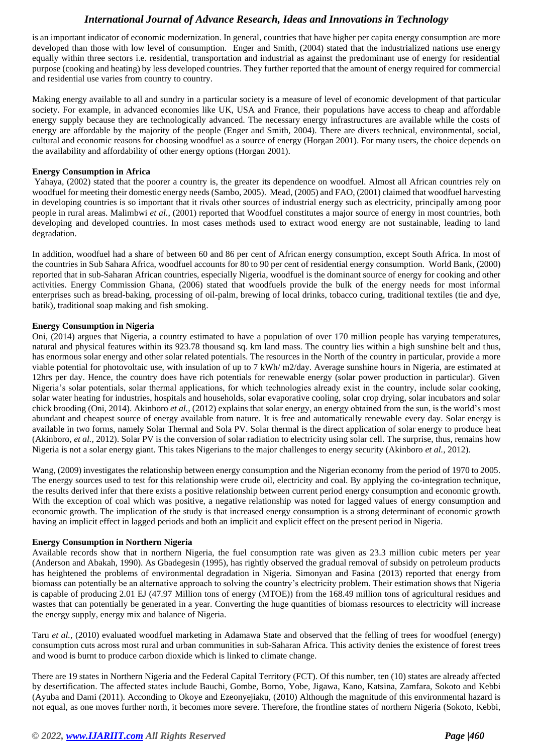is an important indicator of economic modernization. In general, countries that have higher per capita energy consumption are more developed than those with low level of consumption. Enger and Smith, (2004) stated that the industrialized nations use energy equally within three sectors i.e. residential, transportation and industrial as against the predominant use of energy for residential purpose (cooking and heating) by less developed countries. They further reported that the amount of energy required for commercial and residential use varies from country to country.

Making energy available to all and sundry in a particular society is a measure of level of economic development of that particular society. For example, in advanced economies like UK, USA and France, their populations have access to cheap and affordable energy supply because they are technologically advanced. The necessary energy infrastructures are available while the costs of energy are affordable by the majority of the people (Enger and Smith, 2004). There are divers technical, environmental, social, cultural and economic reasons for choosing woodfuel as a source of energy (Horgan 2001). For many users, the choice depends on the availability and affordability of other energy options (Horgan 2001).

## **Energy Consumption in Africa**

Yahaya, (2002) stated that the poorer a country is, the greater its dependence on woodfuel. Almost all African countries rely on woodfuel for meeting their domestic energy needs (Sambo, 2005). Mead, (2005) and FAO, (2001) claimed that woodfuel harvesting in developing countries is so important that it rivals other sources of industrial energy such as electricity, principally among poor people in rural areas. Malimbwi *et al.,* (2001) reported that Woodfuel constitutes a major source of energy in most countries, both developing and developed countries. In most cases methods used to extract wood energy are not sustainable, leading to land degradation.

In addition, woodfuel had a share of between 60 and 86 per cent of African energy consumption, except South Africa. In most of the countries in Sub Sahara Africa, woodfuel accounts for 80 to 90 per cent of residential energy consumption. World Bank, (2000) reported that in sub-Saharan African countries, especially Nigeria, woodfuel is the dominant source of energy for cooking and other activities. Energy Commission Ghana, (2006) stated that woodfuels provide the bulk of the energy needs for most informal enterprises such as bread-baking, processing of oil-palm, brewing of local drinks, tobacco curing, traditional textiles (tie and dye, batik), traditional soap making and fish smoking.

## **Energy Consumption in Nigeria**

Oni, (2014) argues that Nigeria, a country estimated to have a population of over 170 million people has varying temperatures, natural and physical features within its 923.78 thousand sq. km land mass. The country lies within a high sunshine belt and thus, has enormous solar energy and other solar related potentials. The resources in the North of the country in particular, provide a more viable potential for photovoltaic use, with insulation of up to 7 kWh/ m2/day. Average sunshine hours in Nigeria, are estimated at 12hrs per day. Hence, the country does have rich potentials for renewable energy (solar power production in particular). Given Nigeria's solar potentials, solar thermal applications, for which technologies already exist in the country, include solar cooking, solar water heating for industries, hospitals and households, solar evaporative cooling, solar crop drying, solar incubators and solar chick brooding (Oni, 2014). Akinboro *et al.,* (2012) explains that solar energy, an energy obtained from the sun, is the world's most abundant and cheapest source of energy available from nature. It is free and automatically renewable every day. Solar energy is available in two forms, namely Solar Thermal and Sola PV. Solar thermal is the direct application of solar energy to produce heat (Akinboro, *et al.,* 2012). Solar PV is the conversion of solar radiation to electricity using solar cell. The surprise, thus, remains how Nigeria is not a solar energy giant. This takes Nigerians to the major challenges to energy security (Akinboro *et al.,* 2012).

Wang, (2009) investigates the relationship between energy consumption and the Nigerian economy from the period of 1970 to 2005. The energy sources used to test for this relationship were crude oil, electricity and coal. By applying the co-integration technique, the results derived infer that there exists a positive relationship between current period energy consumption and economic growth. With the exception of coal which was positive, a negative relationship was noted for lagged values of energy consumption and economic growth. The implication of the study is that increased energy consumption is a strong determinant of economic growth having an implicit effect in lagged periods and both an implicit and explicit effect on the present period in Nigeria.

#### **Energy Consumption in Northern Nigeria**

Available records show that in northern Nigeria, the fuel consumption rate was given as 23.3 million cubic meters per year (Anderson and Abakah, 1990). As Gbadegesin (1995), has rightly observed the gradual removal of subsidy on petroleum products has heightened the problems of environmental degradation in Nigeria. Simonyan and Fasina (2013) reported that energy from biomass can potentially be an alternative approach to solving the country's electricity problem. Their estimation shows that Nigeria is capable of producing 2.01 EJ (47.97 Million tons of energy (MTOE)) from the 168.49 million tons of agricultural residues and wastes that can potentially be generated in a year. Converting the huge quantities of biomass resources to electricity will increase the energy supply, energy mix and balance of Nigeria.

Taru *et al.,* (2010) evaluated woodfuel marketing in Adamawa State and observed that the felling of trees for woodfuel (energy) consumption cuts across most rural and urban communities in sub-Saharan Africa. This activity denies the existence of forest trees and wood is burnt to produce carbon dioxide which is linked to climate change.

There are 19 states in Northern Nigeria and the Federal Capital Territory (FCT). Of this number, ten (10) states are already affected by desertification. The affected states include Bauchi, Gombe, Borno, Yobe, Jigawa, Kano, Katsina, Zamfara, Sokoto and Kebbi (Ayuba and Dami (2011). Acconding to Okoye and Ezeonyejiaku, (2010) Although the magnitude of this environmental hazard is not equal, as one moves further north, it becomes more severe. Therefore, the frontline states of northern Nigeria (Sokoto, Kebbi,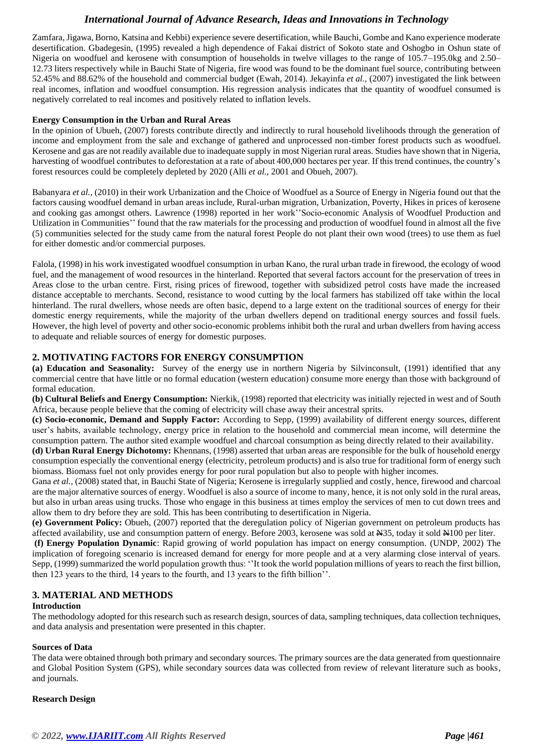Zamfara, Jigawa, Borno, Katsina and Kebbi) experience severe desertification, while Bauchi, Gombe and Kano experience moderate desertification. Gbadegesin, (1995) revealed a high dependence of Fakai district of Sokoto state and Oshogbo in Oshun state of Nigeria on woodfuel and kerosene with consumption of households in twelve villages to the range of 105.7–195.0kg and 2.50– 12.73 liters respectively while in Bauchi State of Nigeria, fire wood was found to be the dominant fuel source, contributing between 52.45% and 88.62% of the household and commercial budget (Ewah, 2014). Jekayinfa *et al.,* (2007) investigated the link between real incomes, inflation and woodfuel consumption. His regression analysis indicates that the quantity of woodfuel consumed is negatively correlated to real incomes and positively related to inflation levels.

#### **Energy Consumption in the Urban and Rural Areas**

In the opinion of Ubueh, (2007) forests contribute directly and indirectly to rural household livelihoods through the generation of income and employment from the sale and exchange of gathered and unprocessed non-timber forest products such as woodfuel. Kerosene and gas are not readily available due to inadequate supply in most Nigerian rural areas. Studies have shown that in Nigeria, harvesting of woodfuel contributes to deforestation at a rate of about 400,000 hectares per year. If this trend continues, the country's forest resources could be completely depleted by 2020 (Alli *et al.,* 2001 and Obueh, 2007).

Babanyara *et al.,* (2010) in their work Urbanization and the Choice of Woodfuel as a Source of Energy in Nigeria found out that the factors causing woodfuel demand in urban areas include, Rural-urban migration, Urbanization, Poverty, Hikes in prices of kerosene and cooking gas amongst others. Lawrence (1998) reported in her work''Socio-economic Analysis of Woodfuel Production and Utilization in Communities'' found that the raw materials for the processing and production of woodfuel found in almost all the five (5) communities selected for the study came from the natural forest People do not plant their own wood (trees) to use them as fuel for either domestic and/or commercial purposes.

Falola, (1998) in his work investigated woodfuel consumption in urban Kano, the rural urban trade in firewood, the ecology of wood fuel, and the management of wood resources in the hinterland. Reported that several factors account for the preservation of trees in Areas close to the urban centre. First, rising prices of firewood, together with subsidized petrol costs have made the increased distance acceptable to merchants. Second, resistance to wood cutting by the local farmers has stabilized off take within the local hinterland. The rural dwellers, whose needs are often basic, depend to a large extent on the traditional sources of energy for their domestic energy requirements, while the majority of the urban dwellers depend on traditional energy sources and fossil fuels. However, the high level of poverty and other socio-economic problems inhibit both the rural and urban dwellers from having access to adequate and reliable sources of energy for domestic purposes.

## **2. MOTIVATING FACTORS FOR ENERGY CONSUMPTION**

**(a) Education and Seasonality:** Survey of the energy use in northern Nigeria by Silvinconsult, (1991) identified that any commercial centre that have little or no formal education (western education) consume more energy than those with background of formal education.

**(b) Cultural Beliefs and Energy Consumption:** Nierkik, (1998) reported that electricity was initially rejected in west and of South Africa, because people believe that the coming of electricity will chase away their ancestral sprits.

**(c) Socio-economic, Demand and Supply Factor:** According to Sepp, (1999) availability of different energy sources, different user's habits, available technology, energy price in relation to the household and commercial mean income, will determine the consumption pattern. The author sited example woodfuel and charcoal consumption as being directly related to their availability.

**(d) Urban Rural Energy Dichotomy:** Khennans, (1998) asserted that urban areas are responsible for the bulk of household energy consumption especially the conventional energy (electricity, petroleum products) and is also true for traditional form of energy such biomass. Biomass fuel not only provides energy for poor rural population but also to people with higher incomes.

Gana *et al.*, (2008) stated that, in Bauchi State of Nigeria; Kerosene is irregularly supplied and costly, hence, firewood and charcoal are the major alternative sources of energy. Woodfuel is also a source of income to many, hence, it is not only sold in the rural areas, but also in urban areas using trucks. Those who engage in this business at times employ the services of men to cut down trees and allow them to dry before they are sold. This has been contributing to desertification in Nigeria.

**(e) Government Policy:** Obueh, (2007) reported that the deregulation policy of Nigerian government on petroleum products has affected availability, use and consumption pattern of energy. Before 2003, kerosene was sold at N35, today it sold N100 per liter.

**(f) Energy Population Dynamic**: Rapid growing of world population has impact on energy consumption. (UNDP, 2002) The implication of foregoing scenario is increased demand for energy for more people and at a very alarming close interval of years. Sepp, (1999) summarized the world population growth thus: ''It took the world population millions of years to reach the first billion, then 123 years to the third, 14 years to the fourth, and 13 years to the fifth billion''.

# **3. MATERIAL AND METHODS**

#### **Introduction**

The methodology adopted for this research such as research design, sources of data, sampling techniques, data collection techniques, and data analysis and presentation were presented in this chapter.

#### **Sources of Data**

The data were obtained through both primary and secondary sources. The primary sources are the data generated from questionnaire and Global Position System (GPS), while secondary sources data was collected from review of relevant literature such as books, and journals.

#### **Research Design**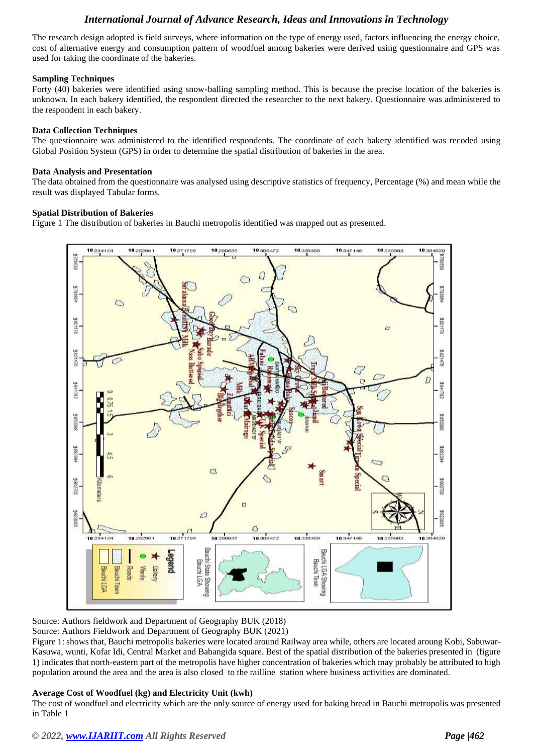The research design adopted is field surveys, where information on the type of energy used, factors influencing the energy choice, cost of alternative energy and consumption pattern of woodfuel among bakeries were derived using questionnaire and GPS was used for taking the coordinate of the bakeries.

## **Sampling Techniques**

Forty (40) bakeries were identified using snow-balling sampling method. This is because the precise location of the bakeries is unknown. In each bakery identified, the respondent directed the researcher to the next bakery. Questionnaire was administered to the respondent in each bakery.

## **Data Collection Techniques**

The questionnaire was administered to the identified respondents. The coordinate of each bakery identified was recoded using Global Position System (GPS) in order to determine the spatial distribution of bakeries in the area.

#### **Data Analysis and Presentation**

The data obtained from the questionnaire was analysed using descriptive statistics of frequency, Percentage (%) and mean while the result was displayed Tabular forms.

## **Spatial Distribution of Bakeries**

Figure 1 The distribution of bakeries in Bauchi metropolis identified was mapped out as presented.



Source: Authors fieldwork and Department of Geography BUK (2018)

Source: Authors Fieldwork and Department of Geography BUK (2021)

Figure 1: shows that, Bauchi metropolis bakeries were located around Railway area while, others are located aroung Kobi, Sabuwar-Kasuwa, wunti, Kofar Idi, Central Market and Babangida square. Best of the spatial distribution of the bakeries presented in (figure 1) indicates that north-eastern part of the metropolis have higher concentration of bakeries which may probably be attributed to high population around the area and the area is also closed to the railline station where business activities are dominated.

#### **Average Cost of Woodfuel (kg) and Electricity Unit (kwh)**

The cost of woodfuel and electricity which are the only source of energy used for baking bread in Bauchi metropolis was presented in Table 1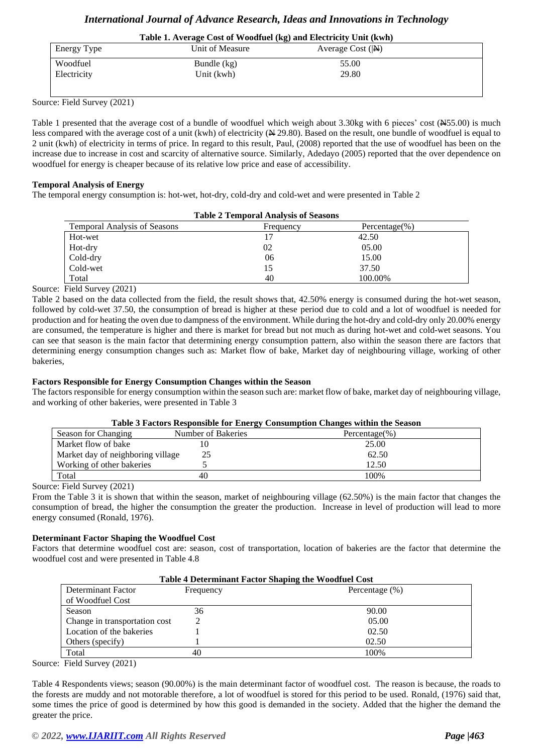# **Table 1. Average Cost of Woodfuel (kg) and Electricity Unit (kwh)**

| Energy Type | Unit of Measure | Average Cost $( N\rangle)$ |  |
|-------------|-----------------|----------------------------|--|
| Woodfuel    | Bundle $(kg)$   | 55.00                      |  |
| Electricity | Unit (kwh)      | 29.80                      |  |
|             |                 |                            |  |

Source: Field Survey (2021)

Table 1 presented that the average cost of a bundle of woodfuel which weigh about 3.30kg with 6 pieces' cost (N55.00) is much less compared with the average cost of a unit (kwh) of electricity ( $\cancel{\text{H}}$  29.80). Based on the result, one bundle of woodfuel is equal to 2 unit (kwh) of electricity in terms of price. In regard to this result, Paul, (2008) reported that the use of woodfuel has been on the increase due to increase in cost and scarcity of alternative source. Similarly, Adedayo (2005) reported that the over dependence on woodfuel for energy is cheaper because of its relative low price and ease of accessibility.

#### **Temporal Analysis of Energy**

The temporal energy consumption is: hot-wet, hot-dry, cold-dry and cold-wet and were presented in Table 2

| <b>Table 2 Temporal Analysis of Seasons</b> |           |                   |  |
|---------------------------------------------|-----------|-------------------|--|
| <b>Temporal Analysis of Seasons</b>         | Frequency | Percentage $(\%)$ |  |
| Hot-wet                                     |           | 42.50             |  |
| Hot-dry                                     | 02        | 05.00             |  |
| Cold-dry                                    | 06        | 15.00             |  |
| Cold-wet                                    | 15        | 37.50             |  |
| Total                                       | 40        | 100.00%           |  |

Source: Field Survey (2021)

Table 2 based on the data collected from the field, the result shows that, 42.50% energy is consumed during the hot-wet season, followed by cold-wet 37.50, the consumption of bread is higher at these period due to cold and a lot of woodfuel is needed for production and for heating the oven due to dampness of the environment. While during the hot-dry and cold-dry only 20.00% energy are consumed, the temperature is higher and there is market for bread but not much as during hot-wet and cold-wet seasons. You can see that season is the main factor that determining energy consumption pattern, also within the season there are factors that determining energy consumption changes such as: Market flow of bake, Market day of neighbouring village, working of other bakeries,

## **Factors Responsible for Energy Consumption Changes within the Season**

The factors responsible for energy consumption within the season such are: market flow of bake, market day of neighbouring village, and working of other bakeries, were presented in Table 3

| Table 3 Factors Responsible for Energy Consumption Changes within the Season |  |  |
|------------------------------------------------------------------------------|--|--|
|                                                                              |  |  |

| Season for Changing               | $- \cdot$<br>Number of Bakeries | Percentage $(\% )$ |
|-----------------------------------|---------------------------------|--------------------|
| Market flow of bake               |                                 | 25.00              |
| Market day of neighboring village | 25                              | 62.50              |
| Working of other bakeries         |                                 | 12.50              |
| Total                             | 40                              | 100%               |

Source: Field Survey (2021)

From the Table 3 it is shown that within the season, market of neighbouring village (62.50%) is the main factor that changes the consumption of bread, the higher the consumption the greater the production. Increase in level of production will lead to more energy consumed (Ronald, 1976).

#### **Determinant Factor Shaping the Woodfuel Cost**

Factors that determine woodfuel cost are: season, cost of transportation, location of bakeries are the factor that determine the woodfuel cost and were presented in Table 4.8

| Table 4 Determinant Factor Shaping the Woodfuel Cost |           |                    |
|------------------------------------------------------|-----------|--------------------|
| Determinant Factor                                   | Frequency | Percentage $(\% )$ |
| of Woodfuel Cost                                     |           |                    |
| Season                                               | 36        | 90.00              |
| Change in transportation cost                        |           | 05.00              |
| Location of the bakeries                             |           | 02.50              |
| Others (specify)                                     |           | 02.50              |
| Total                                                | 40        | 100%               |

Source: Field Survey (2021)

Table 4 Respondents views; season (90.00%) is the main determinant factor of woodfuel cost. The reason is because, the roads to the forests are muddy and not motorable therefore, a lot of woodfuel is stored for this period to be used. Ronald, (1976) said that, some times the price of good is determined by how this good is demanded in the society. Added that the higher the demand the greater the price.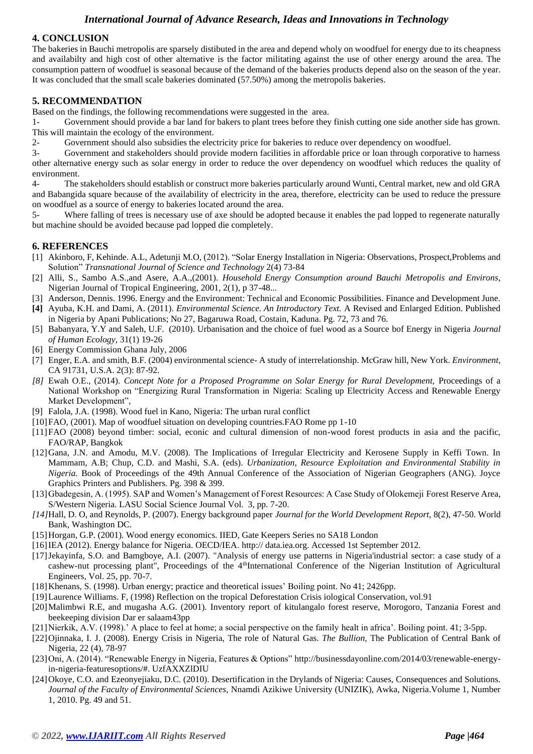# **4. CONCLUSION**

The bakeries in Bauchi metropolis are sparsely distibuted in the area and depend wholy on woodfuel for energy due to its cheapness and availabilty and high cost of other alternative is the factor militating against the use of other energy around the area. The consumption pattern of woodfuel is seasonal because of the demand of the bakeries products depend also on the season of the year. It was concluded that the small scale bakeries dominated (57.50%) among the metropolis bakeries.

# **5. RECOMMENDATION**

Based on the findings, the following recommendations were suggested in the area.

1- Government should provide a bar land for bakers to plant trees before they finish cutting one side another side has grown. This will maintain the ecology of the environment.

2- Government should also subsidies the electricity price for bakeries to reduce over dependency on woodfuel.

3- Government and stakeholders should provide modern facilities in affordable price or loan through corporative to harness other alternative energy such as solar energy in order to reduce the over dependency on woodfuel which reduces the quality of environment.

4- The stakeholders should establish or construct more bakeries particularly around Wunti, Central market, new and old GRA and Babangida square because of the availability of electricity in the area, therefore, electricity can be used to reduce the pressure on woodfuel as a source of energy to bakeries located around the area.

5- Where falling of trees is necessary use of axe should be adopted because it enables the pad lopped to regenerate naturally but machine should be avoided because pad lopped die completely.

# **6. REFERENCES**

- [1] Akinboro, F, Kehinde. A.L, Adetunji M.O*,* (2012). "Solar Energy Installation in Nigeria: Observations, Prospect,Problems and Solution" *Transnational Journal of Science and Technology* 2(4) 73-84
- [2] Alli, S., Sambo A.S.,and Asere, A.A.,(2001). *Household Energy Consumption around Bauchi Metropolis and Environs*, Nigerian Journal of Tropical Engineering, 2001, 2(1), p 37-48...
- [3] Anderson, Dennis. 1996. Energy and the Environment: Technical and Economic Possibilities. Finance and Development June.
- **[4]** Ayuba, K.H. and Dami, A. (2011). *Environmental Science. An Introductory Text.* A Revised and Enlarged Edition. Published in Nigeria by Apani Publications; No 27, Bagaruwa Road, Costain, Kaduna. Pg. 72, 73 and 76.
- [5] Babanyara, Y.Y and Saleh, U.F. (2010). Urbanisation and the choice of fuel wood as a Source bof Energy in Nigeria *Journal of Human Ecology,* 31(1) 19-26
- [6] Energy Commission Ghana July, 2006
- [7] Enger, E.A. and smith, B.F. (2004) environmental science- A study of interrelationship. McGraw hill, New York. *Environment*, CA 91731, U.S.A. 2(3): 87-92.
- *[8]* Ewah O.E., (2014). *Concept Note for a Proposed Programme on Solar Energy for Rural Development,* Proceedings of a National Workshop on "Energizing Rural Transformation in Nigeria: Scaling up Electricity Access and Renewable Energy Market Development",
- [9] Falola, J.A. (1998). Wood fuel in Kano, Nigeria: The urban rural conflict
- [10]FAO, (2001). Map of woodfuel situation on developing countries.FAO Rome pp 1-10
- [11]FAO (2008) beyond timber: social, econic and cultural dimension of non-wood forest products in asia and the pacific, FAO/RAP, Bangkok
- [12]Gana, J.N. and Amodu, M.V. (2008). The Implications of Irregular Electricity and Kerosene Supply in Keffi Town. In Mammam, A.B; Chup, C.D. and Mashi, S.A. (eds). *Urbanization, Resource Exploitation and Environmental Stability in Nigeria.* Book of Proceedings of the 49th Annual Conference of the Association of Nigerian Geographers (ANG). Joyce Graphics Printers and Publishers. Pg. 398 & 399.
- [13] Gbadegesin, A. (1995). SAP and Women's Management of Forest Resources: A Case Study of Olokemeji Forest Reserve Area, S/Western Nigeria. LASU Social Science Journal Vol. 3, pp. 7-20.
- *[14]*Hall, D. O, and Reynolds, P. (2007). Energy background paper *Journal for the World Development Report,* 8(2), 47-50*.* World Bank, Washington DC.
- [15]Horgan, G.P. (2001). Wood energy economics. IIED, Gate Keepers Series no SA18 London
- [16]IEA (2012). Energy balance for Nigeria. OECD/IEA. http:// data.iea.org. Accessed 1st September 2012.
- [17]Jekayinfa, S.O. and Bamgboye, A.I. (2007). "Analysis of energy use patterns in Nigeria'industrial sector: a case study of a cashew-nut processing plant", Proceedings of the 4thInternational Conference of the Nigerian Institution of Agricultural Engineers, Vol. 25, pp. 70-7.
- [18]Khenans, S. (1998). Urban energy; practice and theoretical issues' Boiling point. No 41; 2426pp.
- [19]Laurence Williams. F, (1998) Reflection on the tropical Deforestation Crisis iological Conservation, vol.91
- [20] Malimbwi R.E, and mugasha A.G. (2001). Inventory report of kitulangalo forest reserve, Morogoro, Tanzania Forest and beekeeping division Dar er salaam43pp
- [21]Nierkik, A.V. (1998).' A place to feel at home; a social perspective on the family healt in africa'. Boiling point. 41; 3-5pp.
- [22]Ojinnaka, I. J. (2008). Energy Crisis in Nigeria, The role of Natural Gas. *The Bullion,* The Publication of Central Bank of Nigeria, 22 (4), 78-97
- [23]Oni, A. (2014). "Renewable Energy in Nigeria, Features & Options" [http://businessdayonline.com/2014/03/renewable-energy](http://businessdayonline.com/2014/03/renewable-energy-in-nigeria-featuresoptions/)[in-nigeria-featuresoptions/#.](http://businessdayonline.com/2014/03/renewable-energy-in-nigeria-featuresoptions/) UzfAXXZlDIU
- [24]Okoye, C.O. and Ezeonyejiaku, D.C. (2010). Desertification in the Drylands of Nigeria: Causes, Consequences and Solutions. *Journal of the Faculty of Environmental Sciences,* Nnamdi Azikiwe University (UNIZIK), Awka, Nigeria.Volume 1, Number 1, 2010. Pg. 49 and 51.